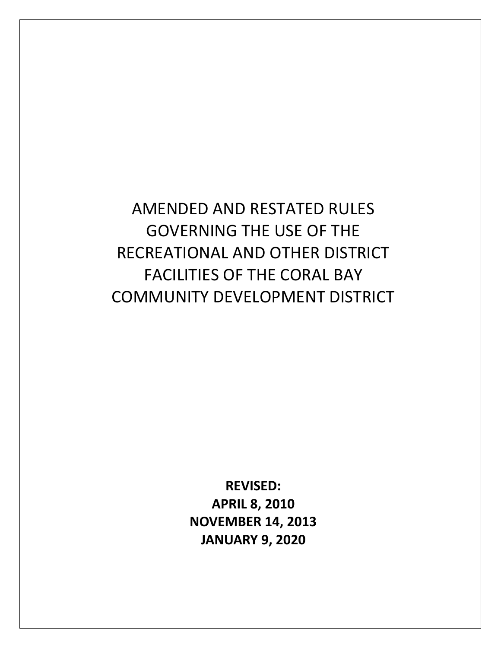AMENDED AND RESTATED RULES GOVERNING THE USE OF THE RECREATIONAL AND OTHER DISTRICT FACILITIES OF THE CORAL BAY COMMUNITY DEVELOPMENT DISTRICT

> **REVISED: APRIL 8, 2010 NOVEMBER 14, 2013 JANUARY 9, 2020**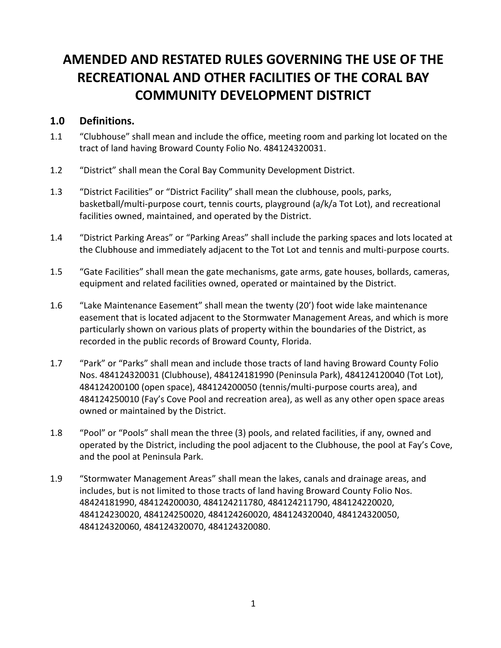# **AMENDED AND RESTATED RULES GOVERNING THE USE OF THE RECREATIONAL AND OTHER FACILITIES OF THE CORAL BAY COMMUNITY DEVELOPMENT DISTRICT**

#### **1.0 Definitions.**

- 1.1 "Clubhouse" shall mean and include the office, meeting room and parking lot located on the tract of land having Broward County Folio No. 484124320031.
- 1.2 "District" shall mean the Coral Bay Community Development District.
- 1.3 "District Facilities" or "District Facility" shall mean the clubhouse, pools, parks, basketball/multi-purpose court, tennis courts, playground (a/k/a Tot Lot), and recreational facilities owned, maintained, and operated by the District.
- 1.4 "District Parking Areas" or "Parking Areas" shall include the parking spaces and lots located at the Clubhouse and immediately adjacent to the Tot Lot and tennis and multi-purpose courts.
- 1.5 "Gate Facilities" shall mean the gate mechanisms, gate arms, gate houses, bollards, cameras, equipment and related facilities owned, operated or maintained by the District.
- 1.6 "Lake Maintenance Easement" shall mean the twenty (20') foot wide lake maintenance easement that is located adjacent to the Stormwater Management Areas, and which is more particularly shown on various plats of property within the boundaries of the District, as recorded in the public records of Broward County, Florida.
- 1.7 "Park" or "Parks" shall mean and include those tracts of land having Broward County Folio Nos. 484124320031 (Clubhouse), 484124181990 (Peninsula Park), 484124120040 (Tot Lot), 484124200100 (open space), 484124200050 (tennis/multi-purpose courts area), and 484124250010 (Fay's Cove Pool and recreation area), as well as any other open space areas owned or maintained by the District.
- 1.8 "Pool" or "Pools" shall mean the three (3) pools, and related facilities, if any, owned and operated by the District, including the pool adjacent to the Clubhouse, the pool at Fay's Cove, and the pool at Peninsula Park.
- 1.9 "Stormwater Management Areas" shall mean the lakes, canals and drainage areas, and includes, but is not limited to those tracts of land having Broward County Folio Nos. 48424181990, 484124200030, 484124211780, 484124211790, 484124220020, 484124230020, 484124250020, 484124260020, 484124320040, 484124320050, 484124320060, 484124320070, 484124320080.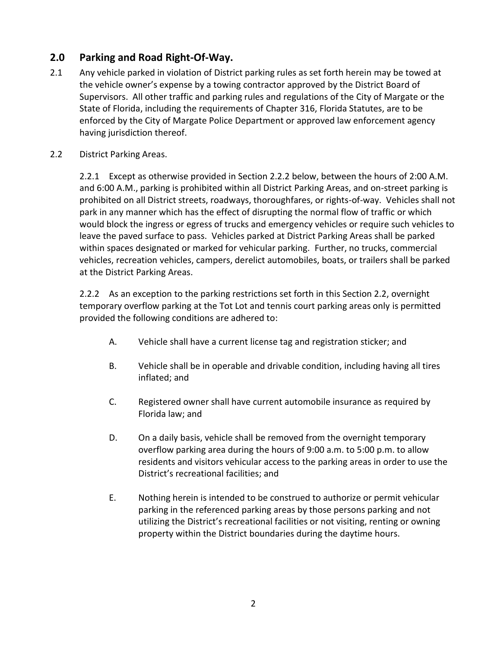# **2.0 Parking and Road Right-Of-Way.**

- 2.1 Any vehicle parked in violation of District parking rules as set forth herein may be towed at the vehicle owner's expense by a towing contractor approved by the District Board of Supervisors. All other traffic and parking rules and regulations of the City of Margate or the State of Florida, including the requirements of Chapter 316, Florida Statutes, are to be enforced by the City of Margate Police Department or approved law enforcement agency having jurisdiction thereof.
- 2.2 District Parking Areas.

2.2.1 Except as otherwise provided in Section 2.2.2 below, between the hours of 2:00 A.M. and 6:00 A.M., parking is prohibited within all District Parking Areas, and on-street parking is prohibited on all District streets, roadways, thoroughfares, or rights-of-way. Vehicles shall not park in any manner which has the effect of disrupting the normal flow of traffic or which would block the ingress or egress of trucks and emergency vehicles or require such vehicles to leave the paved surface to pass. Vehicles parked at District Parking Areas shall be parked within spaces designated or marked for vehicular parking. Further, no trucks, commercial vehicles, recreation vehicles, campers, derelict automobiles, boats, or trailers shall be parked at the District Parking Areas.

2.2.2 As an exception to the parking restrictions set forth in this Section 2.2, overnight temporary overflow parking at the Tot Lot and tennis court parking areas only is permitted provided the following conditions are adhered to:

- A. Vehicle shall have a current license tag and registration sticker; and
- B. Vehicle shall be in operable and drivable condition, including having all tires inflated; and
- C. Registered owner shall have current automobile insurance as required by Florida law; and
- D. On a daily basis, vehicle shall be removed from the overnight temporary overflow parking area during the hours of 9:00 a.m. to 5:00 p.m. to allow residents and visitors vehicular access to the parking areas in order to use the District's recreational facilities; and
- E. Nothing herein is intended to be construed to authorize or permit vehicular parking in the referenced parking areas by those persons parking and not utilizing the District's recreational facilities or not visiting, renting or owning property within the District boundaries during the daytime hours.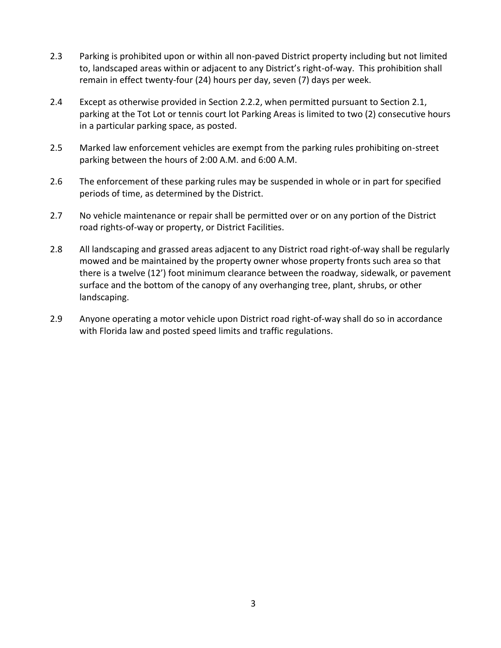- 2.3 Parking is prohibited upon or within all non-paved District property including but not limited to, landscaped areas within or adjacent to any District's right-of-way. This prohibition shall remain in effect twenty-four (24) hours per day, seven (7) days per week.
- 2.4 Except as otherwise provided in Section 2.2.2, when permitted pursuant to Section 2.1, parking at the Tot Lot or tennis court lot Parking Areas is limited to two (2) consecutive hours in a particular parking space, as posted.
- 2.5 Marked law enforcement vehicles are exempt from the parking rules prohibiting on-street parking between the hours of 2:00 A.M. and 6:00 A.M.
- 2.6 The enforcement of these parking rules may be suspended in whole or in part for specified periods of time, as determined by the District.
- 2.7 No vehicle maintenance or repair shall be permitted over or on any portion of the District road rights-of-way or property, or District Facilities.
- 2.8 All landscaping and grassed areas adjacent to any District road right-of-way shall be regularly mowed and be maintained by the property owner whose property fronts such area so that there is a twelve (12') foot minimum clearance between the roadway, sidewalk, or pavement surface and the bottom of the canopy of any overhanging tree, plant, shrubs, or other landscaping.
- 2.9 Anyone operating a motor vehicle upon District road right-of-way shall do so in accordance with Florida law and posted speed limits and traffic regulations.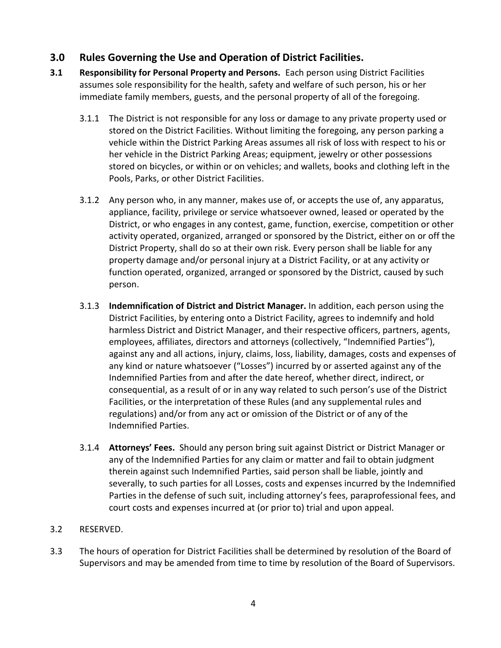## **3.0 Rules Governing the Use and Operation of District Facilities.**

- **3.1 Responsibility for Personal Property and Persons.** Each person using District Facilities assumes sole responsibility for the health, safety and welfare of such person, his or her immediate family members, guests, and the personal property of all of the foregoing.
	- 3.1.1 The District is not responsible for any loss or damage to any private property used or stored on the District Facilities. Without limiting the foregoing, any person parking a vehicle within the District Parking Areas assumes all risk of loss with respect to his or her vehicle in the District Parking Areas; equipment, jewelry or other possessions stored on bicycles, or within or on vehicles; and wallets, books and clothing left in the Pools, Parks, or other District Facilities.
	- 3.1.2 Any person who, in any manner, makes use of, or accepts the use of, any apparatus, appliance, facility, privilege or service whatsoever owned, leased or operated by the District, or who engages in any contest, game, function, exercise, competition or other activity operated, organized, arranged or sponsored by the District, either on or off the District Property, shall do so at their own risk. Every person shall be liable for any property damage and/or personal injury at a District Facility, or at any activity or function operated, organized, arranged or sponsored by the District, caused by such person.
	- 3.1.3 **Indemnification of District and District Manager.** In addition, each person using the District Facilities, by entering onto a District Facility, agrees to indemnify and hold harmless District and District Manager, and their respective officers, partners, agents, employees, affiliates, directors and attorneys (collectively, "Indemnified Parties"), against any and all actions, injury, claims, loss, liability, damages, costs and expenses of any kind or nature whatsoever ("Losses") incurred by or asserted against any of the Indemnified Parties from and after the date hereof, whether direct, indirect, or consequential, as a result of or in any way related to such person's use of the District Facilities, or the interpretation of these Rules (and any supplemental rules and regulations) and/or from any act or omission of the District or of any of the Indemnified Parties.
	- 3.1.4 **Attorneys' Fees.** Should any person bring suit against District or District Manager or any of the Indemnified Parties for any claim or matter and fail to obtain judgment therein against such Indemnified Parties, said person shall be liable, jointly and severally, to such parties for all Losses, costs and expenses incurred by the Indemnified Parties in the defense of such suit, including attorney's fees, paraprofessional fees, and court costs and expenses incurred at (or prior to) trial and upon appeal.

#### 3.2 RESERVED.

3.3 The hours of operation for District Facilities shall be determined by resolution of the Board of Supervisors and may be amended from time to time by resolution of the Board of Supervisors.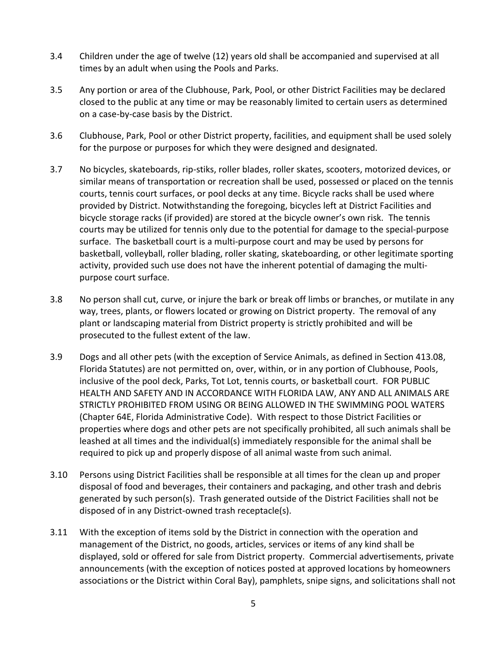- 3.4 Children under the age of twelve (12) years old shall be accompanied and supervised at all times by an adult when using the Pools and Parks.
- 3.5 Any portion or area of the Clubhouse, Park, Pool, or other District Facilities may be declared closed to the public at any time or may be reasonably limited to certain users as determined on a case-by-case basis by the District.
- 3.6 Clubhouse, Park, Pool or other District property, facilities, and equipment shall be used solely for the purpose or purposes for which they were designed and designated.
- 3.7 No bicycles, skateboards, rip-stiks, roller blades, roller skates, scooters, motorized devices, or similar means of transportation or recreation shall be used, possessed or placed on the tennis courts, tennis court surfaces, or pool decks at any time. Bicycle racks shall be used where provided by District. Notwithstanding the foregoing, bicycles left at District Facilities and bicycle storage racks (if provided) are stored at the bicycle owner's own risk. The tennis courts may be utilized for tennis only due to the potential for damage to the special-purpose surface. The basketball court is a multi-purpose court and may be used by persons for basketball, volleyball, roller blading, roller skating, skateboarding, or other legitimate sporting activity, provided such use does not have the inherent potential of damaging the multipurpose court surface.
- 3.8 No person shall cut, curve, or injure the bark or break off limbs or branches, or mutilate in any way, trees, plants, or flowers located or growing on District property. The removal of any plant or landscaping material from District property is strictly prohibited and will be prosecuted to the fullest extent of the law.
- 3.9 Dogs and all other pets (with the exception of Service Animals, as defined in Section 413.08, Florida Statutes) are not permitted on, over, within, or in any portion of Clubhouse, Pools, inclusive of the pool deck, Parks, Tot Lot, tennis courts, or basketball court. FOR PUBLIC HEALTH AND SAFETY AND IN ACCORDANCE WITH FLORIDA LAW, ANY AND ALL ANIMALS ARE STRICTLY PROHIBITED FROM USING OR BEING ALLOWED IN THE SWIMMING POOL WATERS (Chapter 64E, Florida Administrative Code). With respect to those District Facilities or properties where dogs and other pets are not specifically prohibited, all such animals shall be leashed at all times and the individual(s) immediately responsible for the animal shall be required to pick up and properly dispose of all animal waste from such animal.
- 3.10 Persons using District Facilities shall be responsible at all times for the clean up and proper disposal of food and beverages, their containers and packaging, and other trash and debris generated by such person(s). Trash generated outside of the District Facilities shall not be disposed of in any District-owned trash receptacle(s).
- 3.11 With the exception of items sold by the District in connection with the operation and management of the District, no goods, articles, services or items of any kind shall be displayed, sold or offered for sale from District property. Commercial advertisements, private announcements (with the exception of notices posted at approved locations by homeowners associations or the District within Coral Bay), pamphlets, snipe signs, and solicitations shall not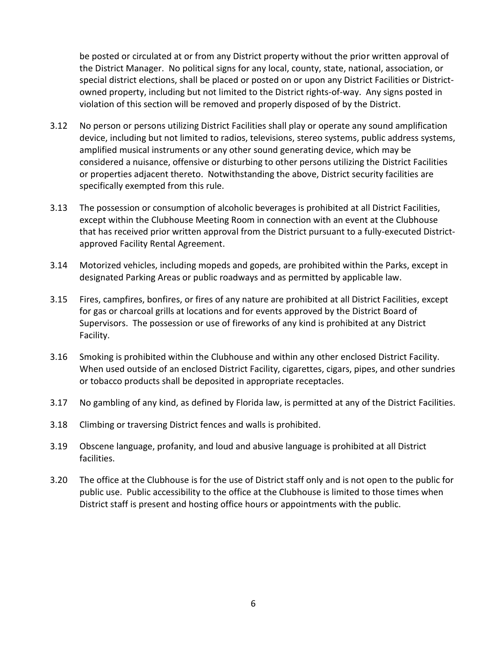be posted or circulated at or from any District property without the prior written approval of the District Manager. No political signs for any local, county, state, national, association, or special district elections, shall be placed or posted on or upon any District Facilities or Districtowned property, including but not limited to the District rights-of-way. Any signs posted in violation of this section will be removed and properly disposed of by the District.

- 3.12 No person or persons utilizing District Facilities shall play or operate any sound amplification device, including but not limited to radios, televisions, stereo systems, public address systems, amplified musical instruments or any other sound generating device, which may be considered a nuisance, offensive or disturbing to other persons utilizing the District Facilities or properties adjacent thereto. Notwithstanding the above, District security facilities are specifically exempted from this rule.
- 3.13 The possession or consumption of alcoholic beverages is prohibited at all District Facilities, except within the Clubhouse Meeting Room in connection with an event at the Clubhouse that has received prior written approval from the District pursuant to a fully-executed Districtapproved Facility Rental Agreement.
- 3.14 Motorized vehicles, including mopeds and gopeds, are prohibited within the Parks, except in designated Parking Areas or public roadways and as permitted by applicable law.
- 3.15 Fires, campfires, bonfires, or fires of any nature are prohibited at all District Facilities, except for gas or charcoal grills at locations and for events approved by the District Board of Supervisors. The possession or use of fireworks of any kind is prohibited at any District Facility.
- 3.16 Smoking is prohibited within the Clubhouse and within any other enclosed District Facility. When used outside of an enclosed District Facility, cigarettes, cigars, pipes, and other sundries or tobacco products shall be deposited in appropriate receptacles.
- 3.17 No gambling of any kind, as defined by Florida law, is permitted at any of the District Facilities.
- 3.18 Climbing or traversing District fences and walls is prohibited.
- 3.19 Obscene language, profanity, and loud and abusive language is prohibited at all District facilities.
- 3.20 The office at the Clubhouse is for the use of District staff only and is not open to the public for public use. Public accessibility to the office at the Clubhouse is limited to those times when District staff is present and hosting office hours or appointments with the public.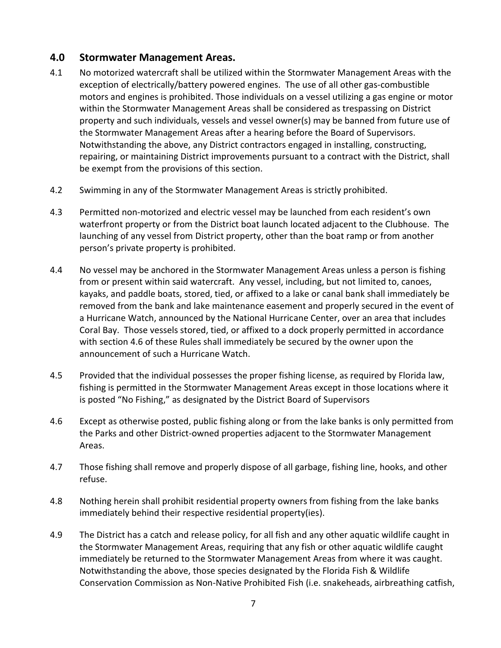#### **4.0 Stormwater Management Areas.**

- 4.1 No motorized watercraft shall be utilized within the Stormwater Management Areas with the exception of electrically/battery powered engines. The use of all other gas-combustible motors and engines is prohibited. Those individuals on a vessel utilizing a gas engine or motor within the Stormwater Management Areas shall be considered as trespassing on District property and such individuals, vessels and vessel owner(s) may be banned from future use of the Stormwater Management Areas after a hearing before the Board of Supervisors. Notwithstanding the above, any District contractors engaged in installing, constructing, repairing, or maintaining District improvements pursuant to a contract with the District, shall be exempt from the provisions of this section.
- 4.2 Swimming in any of the Stormwater Management Areas is strictly prohibited.
- 4.3 Permitted non-motorized and electric vessel may be launched from each resident's own waterfront property or from the District boat launch located adjacent to the Clubhouse. The launching of any vessel from District property, other than the boat ramp or from another person's private property is prohibited.
- 4.4 No vessel may be anchored in the Stormwater Management Areas unless a person is fishing from or present within said watercraft. Any vessel, including, but not limited to, canoes, kayaks, and paddle boats, stored, tied, or affixed to a lake or canal bank shall immediately be removed from the bank and lake maintenance easement and properly secured in the event of a Hurricane Watch, announced by the National Hurricane Center, over an area that includes Coral Bay. Those vessels stored, tied, or affixed to a dock properly permitted in accordance with section 4.6 of these Rules shall immediately be secured by the owner upon the announcement of such a Hurricane Watch.
- 4.5 Provided that the individual possesses the proper fishing license, as required by Florida law, fishing is permitted in the Stormwater Management Areas except in those locations where it is posted "No Fishing," as designated by the District Board of Supervisors
- 4.6 Except as otherwise posted, public fishing along or from the lake banks is only permitted from the Parks and other District-owned properties adjacent to the Stormwater Management Areas.
- 4.7 Those fishing shall remove and properly dispose of all garbage, fishing line, hooks, and other refuse.
- 4.8 Nothing herein shall prohibit residential property owners from fishing from the lake banks immediately behind their respective residential property(ies).
- 4.9 The District has a catch and release policy, for all fish and any other aquatic wildlife caught in the Stormwater Management Areas, requiring that any fish or other aquatic wildlife caught immediately be returned to the Stormwater Management Areas from where it was caught. Notwithstanding the above, those species designated by the Florida Fish & Wildlife Conservation Commission as Non-Native Prohibited Fish (i.e. snakeheads, airbreathing catfish,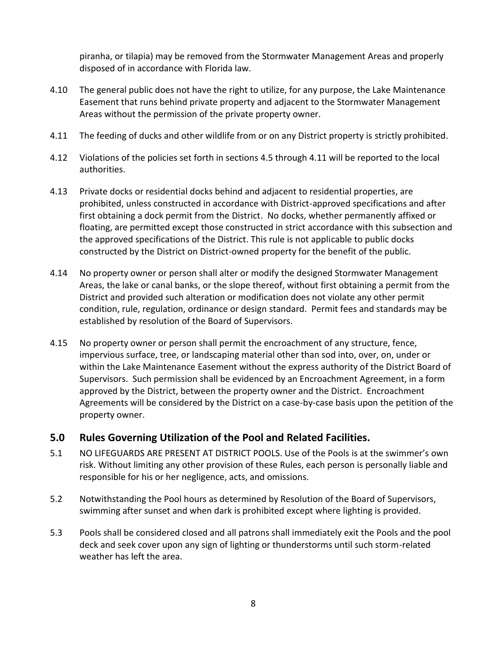piranha, or tilapia) may be removed from the Stormwater Management Areas and properly disposed of in accordance with Florida law.

- 4.10 The general public does not have the right to utilize, for any purpose, the Lake Maintenance Easement that runs behind private property and adjacent to the Stormwater Management Areas without the permission of the private property owner.
- 4.11 The feeding of ducks and other wildlife from or on any District property is strictly prohibited.
- 4.12 Violations of the policies set forth in sections 4.5 through 4.11 will be reported to the local authorities.
- 4.13 Private docks or residential docks behind and adjacent to residential properties, are prohibited, unless constructed in accordance with District-approved specifications and after first obtaining a dock permit from the District. No docks, whether permanently affixed or floating, are permitted except those constructed in strict accordance with this subsection and the approved specifications of the District. This rule is not applicable to public docks constructed by the District on District-owned property for the benefit of the public.
- 4.14 No property owner or person shall alter or modify the designed Stormwater Management Areas, the lake or canal banks, or the slope thereof, without first obtaining a permit from the District and provided such alteration or modification does not violate any other permit condition, rule, regulation, ordinance or design standard. Permit fees and standards may be established by resolution of the Board of Supervisors.
- 4.15 No property owner or person shall permit the encroachment of any structure, fence, impervious surface, tree, or landscaping material other than sod into, over, on, under or within the Lake Maintenance Easement without the express authority of the District Board of Supervisors. Such permission shall be evidenced by an Encroachment Agreement, in a form approved by the District, between the property owner and the District. Encroachment Agreements will be considered by the District on a case-by-case basis upon the petition of the property owner.

#### **5.0 Rules Governing Utilization of the Pool and Related Facilities.**

- 5.1 NO LIFEGUARDS ARE PRESENT AT DISTRICT POOLS. Use of the Pools is at the swimmer's own risk. Without limiting any other provision of these Rules, each person is personally liable and responsible for his or her negligence, acts, and omissions.
- 5.2 Notwithstanding the Pool hours as determined by Resolution of the Board of Supervisors, swimming after sunset and when dark is prohibited except where lighting is provided.
- 5.3 Pools shall be considered closed and all patrons shall immediately exit the Pools and the pool deck and seek cover upon any sign of lighting or thunderstorms until such storm-related weather has left the area.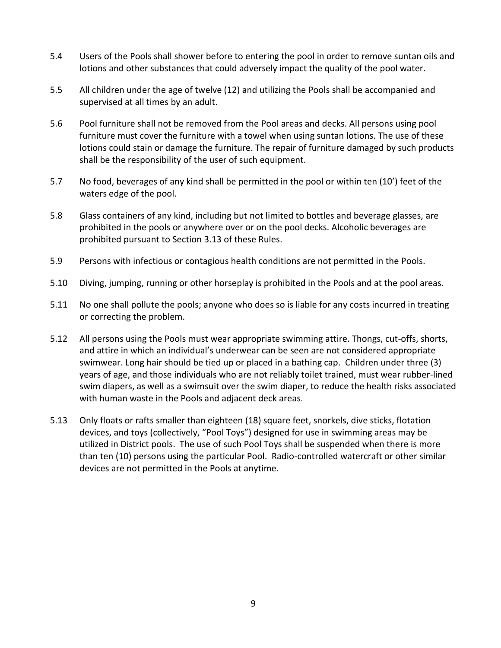- 5.4 Users of the Pools shall shower before to entering the pool in order to remove suntan oils and lotions and other substances that could adversely impact the quality of the pool water.
- 5.5 All children under the age of twelve (12) and utilizing the Pools shall be accompanied and supervised at all times by an adult.
- 5.6 Pool furniture shall not be removed from the Pool areas and decks. All persons using pool furniture must cover the furniture with a towel when using suntan lotions. The use of these lotions could stain or damage the furniture. The repair of furniture damaged by such products shall be the responsibility of the user of such equipment.
- 5.7 No food, beverages of any kind shall be permitted in the pool or within ten (10') feet of the waters edge of the pool.
- 5.8 Glass containers of any kind, including but not limited to bottles and beverage glasses, are prohibited in the pools or anywhere over or on the pool decks. Alcoholic beverages are prohibited pursuant to Section 3.13 of these Rules.
- 5.9 Persons with infectious or contagious health conditions are not permitted in the Pools.
- 5.10 Diving, jumping, running or other horseplay is prohibited in the Pools and at the pool areas.
- 5.11 No one shall pollute the pools; anyone who does so is liable for any costs incurred in treating or correcting the problem.
- 5.12 All persons using the Pools must wear appropriate swimming attire. Thongs, cut-offs, shorts, and attire in which an individual's underwear can be seen are not considered appropriate swimwear. Long hair should be tied up or placed in a bathing cap. Children under three (3) years of age, and those individuals who are not reliably toilet trained, must wear rubber-lined swim diapers, as well as a swimsuit over the swim diaper, to reduce the health risks associated with human waste in the Pools and adjacent deck areas.
- 5.13 Only floats or rafts smaller than eighteen (18) square feet, snorkels, dive sticks, flotation devices, and toys (collectively, "Pool Toys") designed for use in swimming areas may be utilized in District pools. The use of such Pool Toys shall be suspended when there is more than ten (10) persons using the particular Pool. Radio-controlled watercraft or other similar devices are not permitted in the Pools at anytime.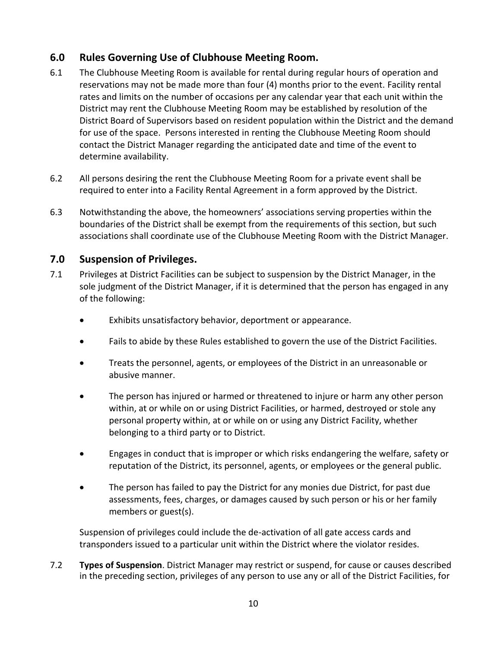## **6.0 Rules Governing Use of Clubhouse Meeting Room.**

- 6.1 The Clubhouse Meeting Room is available for rental during regular hours of operation and reservations may not be made more than four (4) months prior to the event. Facility rental rates and limits on the number of occasions per any calendar year that each unit within the District may rent the Clubhouse Meeting Room may be established by resolution of the District Board of Supervisors based on resident population within the District and the demand for use of the space. Persons interested in renting the Clubhouse Meeting Room should contact the District Manager regarding the anticipated date and time of the event to determine availability.
- 6.2 All persons desiring the rent the Clubhouse Meeting Room for a private event shall be required to enter into a Facility Rental Agreement in a form approved by the District.
- 6.3 Notwithstanding the above, the homeowners' associations serving properties within the boundaries of the District shall be exempt from the requirements of this section, but such associations shall coordinate use of the Clubhouse Meeting Room with the District Manager.

#### **7.0 Suspension of Privileges.**

- 7.1 Privileges at District Facilities can be subject to suspension by the District Manager, in the sole judgment of the District Manager, if it is determined that the person has engaged in any of the following:
	- Exhibits unsatisfactory behavior, deportment or appearance.
	- Fails to abide by these Rules established to govern the use of the District Facilities.
	- Treats the personnel, agents, or employees of the District in an unreasonable or abusive manner.
	- The person has injured or harmed or threatened to injure or harm any other person within, at or while on or using District Facilities, or harmed, destroyed or stole any personal property within, at or while on or using any District Facility, whether belonging to a third party or to District.
	- Engages in conduct that is improper or which risks endangering the welfare, safety or reputation of the District, its personnel, agents, or employees or the general public.
	- The person has failed to pay the District for any monies due District, for past due assessments, fees, charges, or damages caused by such person or his or her family members or guest(s).

Suspension of privileges could include the de-activation of all gate access cards and transponders issued to a particular unit within the District where the violator resides.

7.2 **Types of Suspension**. District Manager may restrict or suspend, for cause or causes described in the preceding section, privileges of any person to use any or all of the District Facilities, for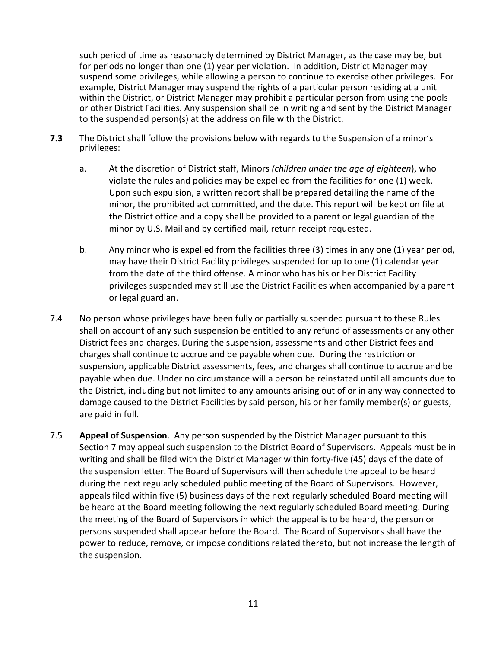such period of time as reasonably determined by District Manager, as the case may be, but for periods no longer than one (1) year per violation. In addition, District Manager may suspend some privileges, while allowing a person to continue to exercise other privileges. For example, District Manager may suspend the rights of a particular person residing at a unit within the District, or District Manager may prohibit a particular person from using the pools or other District Facilities. Any suspension shall be in writing and sent by the District Manager to the suspended person(s) at the address on file with the District.

- **7.3** The District shall follow the provisions below with regards to the Suspension of a minor's privileges:
	- a. At the discretion of District staff, Minors *(children under the age of eighteen*), who violate the rules and policies may be expelled from the facilities for one (1) week. Upon such expulsion, a written report shall be prepared detailing the name of the minor, the prohibited act committed, and the date. This report will be kept on file at the District office and a copy shall be provided to a parent or legal guardian of the minor by U.S. Mail and by certified mail, return receipt requested.
	- b. Any minor who is expelled from the facilities three (3) times in any one (1) year period, may have their District Facility privileges suspended for up to one (1) calendar year from the date of the third offense. A minor who has his or her District Facility privileges suspended may still use the District Facilities when accompanied by a parent or legal guardian.
- 7.4 No person whose privileges have been fully or partially suspended pursuant to these Rules shall on account of any such suspension be entitled to any refund of assessments or any other District fees and charges. During the suspension, assessments and other District fees and charges shall continue to accrue and be payable when due. During the restriction or suspension, applicable District assessments, fees, and charges shall continue to accrue and be payable when due. Under no circumstance will a person be reinstated until all amounts due to the District, including but not limited to any amounts arising out of or in any way connected to damage caused to the District Facilities by said person, his or her family member(s) or guests, are paid in full.
- 7.5 **Appeal of Suspension**. Any person suspended by the District Manager pursuant to this Section 7 may appeal such suspension to the District Board of Supervisors. Appeals must be in writing and shall be filed with the District Manager within forty-five (45) days of the date of the suspension letter. The Board of Supervisors will then schedule the appeal to be heard during the next regularly scheduled public meeting of the Board of Supervisors. However, appeals filed within five (5) business days of the next regularly scheduled Board meeting will be heard at the Board meeting following the next regularly scheduled Board meeting. During the meeting of the Board of Supervisors in which the appeal is to be heard, the person or persons suspended shall appear before the Board. The Board of Supervisors shall have the power to reduce, remove, or impose conditions related thereto, but not increase the length of the suspension.